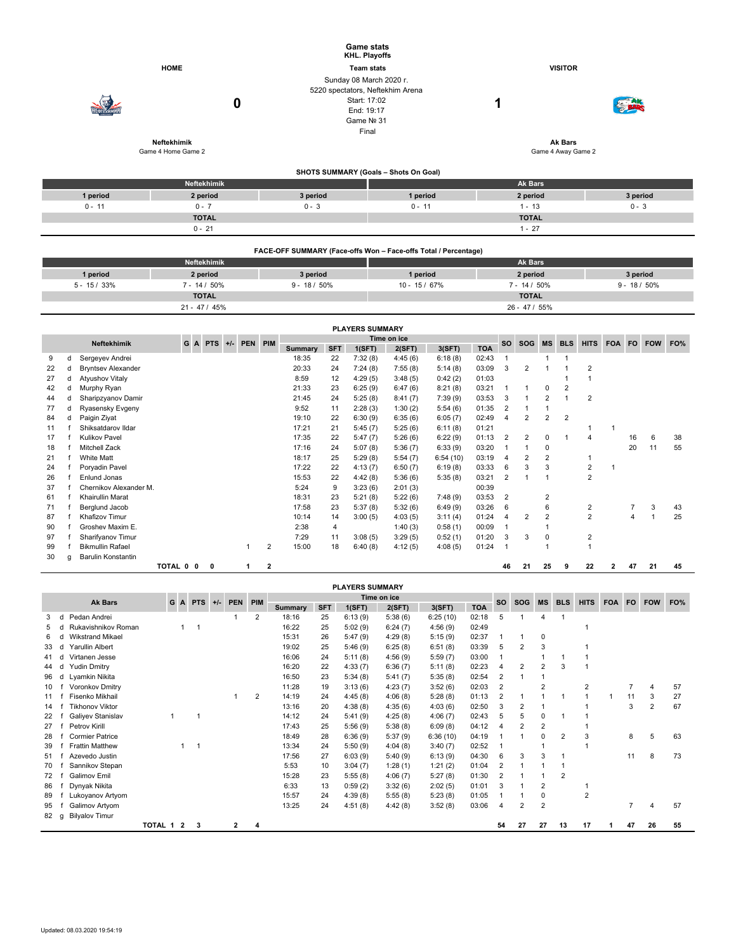|                                                                 |                                   |                                                                                                         | <b>Game stats</b><br>KHL. Playoffs    |                               |                 |  |  |  |  |  |  |  |
|-----------------------------------------------------------------|-----------------------------------|---------------------------------------------------------------------------------------------------------|---------------------------------------|-------------------------------|-----------------|--|--|--|--|--|--|--|
|                                                                 | <b>HOME</b>                       |                                                                                                         | <b>Team stats</b>                     | <b>VISITOR</b>                |                 |  |  |  |  |  |  |  |
|                                                                 | 0                                 | Sunday 08 March 2020 r.<br>5220 spectators, Neftekhim Arena<br>Start: 17:02<br>End: 19:17<br>Game Nº 31 | Final                                 | 1                             |                 |  |  |  |  |  |  |  |
|                                                                 | Neftekhimik<br>Game 4 Home Game 2 |                                                                                                         |                                       | Ak Bars<br>Game 4 Away Game 2 |                 |  |  |  |  |  |  |  |
|                                                                 |                                   |                                                                                                         | SHOTS SUMMARY (Goals - Shots On Goal) |                               |                 |  |  |  |  |  |  |  |
|                                                                 | Neftekhimik                       |                                                                                                         |                                       | Ak Bars                       |                 |  |  |  |  |  |  |  |
| 1 period                                                        | 2 period                          | 3 period                                                                                                | 1 period                              | 2 period                      | 3 period        |  |  |  |  |  |  |  |
| $0 - 11$                                                        | $0 - 7$                           | $0 - 3$                                                                                                 | $0 - 11$                              | $1 - 13$                      | $0 - 3$         |  |  |  |  |  |  |  |
|                                                                 | <b>TOTAL</b>                      |                                                                                                         |                                       | <b>TOTAL</b>                  |                 |  |  |  |  |  |  |  |
|                                                                 | $0 - 21$                          |                                                                                                         |                                       | $1 - 27$                      |                 |  |  |  |  |  |  |  |
| FACE-OFF SUMMARY (Face-offs Won - Face-offs Total / Percentage) |                                   |                                                                                                         |                                       |                               |                 |  |  |  |  |  |  |  |
|                                                                 | Neftekhimik                       |                                                                                                         |                                       | <b>Ak Bars</b>                |                 |  |  |  |  |  |  |  |
| 1 period                                                        | 2 period                          | 3 period                                                                                                | 1 period                              | 2 period                      | 3 period        |  |  |  |  |  |  |  |
| $5 - 15 / 33%$                                                  | $7 - 14 / 50\%$                   | $9 - 18 / 50\%$                                                                                         | $10 - 15 / 67%$                       | $7 - 14 / 50\%$               | $9 - 18 / 50\%$ |  |  |  |  |  |  |  |

**TOTAL TOTAL** 21 - 47 / 45% 26 - 47 / 55%

|                                                                           | <b>PLAYERS SUMMARY</b> |                           |           |  |   |  |   |                |                |            |         |         |          |            |                |                |                |                |                         |            |     |    |    |
|---------------------------------------------------------------------------|------------------------|---------------------------|-----------|--|---|--|---|----------------|----------------|------------|---------|---------|----------|------------|----------------|----------------|----------------|----------------|-------------------------|------------|-----|----|----|
| Time on ice<br>PEN PIM<br><b>Neftekhimik</b><br>GA<br><b>PTS</b><br>$+/-$ |                        |                           |           |  |   |  |   |                |                |            |         |         | SO.      | <b>SOG</b> | <b>MS</b>      | <b>BLS</b>     | <b>HITS</b>    | <b>FOA</b>     | <b>FO</b>               | <b>FOW</b> | FO% |    |    |
|                                                                           |                        |                           |           |  |   |  |   |                | <b>Summary</b> | <b>SFT</b> | 1(SFT)  | 2(SFT)  | 3(SFT)   | <b>TOA</b> |                |                |                |                |                         |            |     |    |    |
| 9                                                                         | d                      | Sergeyev Andrei           |           |  |   |  |   |                | 18:35          | 22         | 7:32(8) | 4:45(6) | 6:18(8)  | 02:43      |                |                |                |                |                         |            |     |    |    |
| 22                                                                        | d                      | <b>Bryntsev Alexander</b> |           |  |   |  |   |                | 20:33          | 24         | 7:24(8) | 7:55(8) | 5:14(8)  | 03:09      | 3              | 2              |                |                | 2                       |            |     |    |    |
| 27                                                                        | d                      | <b>Atyushov Vitaly</b>    |           |  |   |  |   |                | 8:59           | 12         | 4:29(5) | 3:48(5) | 0:42(2)  | 01:03      |                |                |                |                |                         |            |     |    |    |
| 42                                                                        | d                      | Murphy Ryan               |           |  |   |  |   |                | 21:33          | 23         | 6:25(9) | 6:47(6) | 8:21(8)  | 03:21      |                | 1              | $\Omega$       | $\overline{2}$ |                         |            |     |    |    |
| 44                                                                        | d                      | Sharipzyanov Damir        |           |  |   |  |   |                | 21:45          | 24         | 5:25(8) | 8:41(7) | 7:39(9)  | 03:53      | 3              | 1              | 2              |                | $\overline{\mathbf{c}}$ |            |     |    |    |
| 77                                                                        | d                      | Ryasensky Evgeny          |           |  |   |  |   |                | 9:52           | 11         | 2:28(3) | 1:30(2) | 5:54(6)  | 01:35      | $\overline{2}$ | 1              |                |                |                         |            |     |    |    |
| 84                                                                        | d                      | Paigin Ziyat              |           |  |   |  |   |                | 19:10          | 22         | 6:30(9) | 6:35(6) | 6:05(7)  | 02:49      | 4              | 2              | 2              | $\overline{2}$ |                         |            |     |    |    |
| 11                                                                        |                        | Shiksatdarov Ildar        |           |  |   |  |   |                | 17:21          | 21         | 5:45(7) | 5:25(6) | 6:11(8)  | 01:21      |                |                |                |                | 1                       | 1          |     |    |    |
| 17                                                                        |                        | <b>Kulikov Pavel</b>      |           |  |   |  |   |                | 17:35          | 22         | 5:47(7) | 5:26(6) | 6:22(9)  | 01:13      | $\overline{2}$ | $\overline{2}$ | 0              |                | 4                       |            | 16  | 6  | 38 |
| 18                                                                        |                        | <b>Mitchell Zack</b>      |           |  |   |  |   |                | 17:16          | 24         | 5:07(8) | 5:36(7) | 6:33(9)  | 03:20      |                | 1              | 0              |                |                         |            | 20  | 11 | 55 |
| 21                                                                        |                        | <b>White Matt</b>         |           |  |   |  |   |                | 18:17          | 25         | 5:29(8) | 5:54(7) | 6:54(10) | 03:19      | 4              | 2              | 2              |                |                         |            |     |    |    |
| 24                                                                        |                        | Poryadin Pavel            |           |  |   |  |   |                | 17:22          | 22         | 4:13(7) | 6:50(7) | 6:19(8)  | 03:33      | 6              | 3              | 3              |                | $\overline{2}$          |            |     |    |    |
| 26                                                                        |                        | Enlund Jonas              |           |  |   |  |   |                | 15:53          | 22         | 4:42(8) | 5:36(6) | 5:35(8)  | 03:21      | $\overline{2}$ | $\mathbf{1}$   |                |                | $\overline{2}$          |            |     |    |    |
| 37                                                                        |                        | Chernikov Alexander M.    |           |  |   |  |   |                | 5:24           | 9          | 3:23(6) | 2:01(3) |          | 00:39      |                |                |                |                |                         |            |     |    |    |
| 61                                                                        |                        | Khairullin Marat          |           |  |   |  |   |                | 18:31          | 23         | 5:21(8) | 5:22(6) | 7:48(9)  | 03:53      | $\overline{2}$ |                | $\overline{c}$ |                |                         |            |     |    |    |
| 71                                                                        |                        | Berglund Jacob            |           |  |   |  |   |                | 17:58          | 23         | 5:37(8) | 5:32(6) | 6:49(9)  | 03:26      | 6              |                | 6              |                | 2                       |            | 7   | 3  | 43 |
| 87                                                                        |                        | Khafizov Timur            |           |  |   |  |   |                | 10:14          | 14         | 3:00(5) | 4:03(5) | 3:11(4)  | 01:24      | 4              | 2              | 2              |                | $\overline{2}$          |            | 4   |    | 25 |
| 90                                                                        |                        | Groshev Maxim E.          |           |  |   |  |   |                | 2:38           | 4          |         | 1:40(3) | 0:58(1)  | 00:09      |                |                |                |                |                         |            |     |    |    |
| 97                                                                        |                        | Sharifyanov Timur         |           |  |   |  |   |                | 7:29           | 11         | 3:08(5) | 3:29(5) | 0:52(1)  | 01:20      | 3              | 3              | 0              |                | 2                       |            |     |    |    |
| 99                                                                        |                        | <b>Bikmullin Rafael</b>   |           |  |   |  |   | $\overline{2}$ | 15:00          | 18         | 6:40(8) | 4:12(5) | 4:08(5)  | 01:24      |                |                |                |                |                         |            |     |    |    |
| 30                                                                        | q                      | Barulin Konstantin        |           |  |   |  |   |                |                |            |         |         |          |            |                |                |                |                |                         |            |     |    |    |
|                                                                           |                        |                           | TOTAL 0 0 |  | 0 |  | 1 | $\mathbf{2}$   |                |            |         |         |          |            | 46             | 21             | 25             | 9              | 22                      | 2          | 47  | 21 | 45 |

|    | <b>PLAYERS SUMMARY</b> |                         |         |    |                         |            |       |            |                |             |        |         |         |            |       |                |                |                |                |                |            |           |                |     |
|----|------------------------|-------------------------|---------|----|-------------------------|------------|-------|------------|----------------|-------------|--------|---------|---------|------------|-------|----------------|----------------|----------------|----------------|----------------|------------|-----------|----------------|-----|
|    |                        | <b>Ak Bars</b>          |         | GA |                         | <b>PTS</b> | $+/-$ | <b>PEN</b> | PIM            | Time on ice |        |         |         |            |       | <b>SO</b>      | <b>SOG</b>     | <b>MS</b>      | <b>BLS</b>     | <b>HITS</b>    | <b>FOA</b> | <b>FO</b> | <b>FOW</b>     | FO% |
|    |                        |                         |         |    |                         |            |       |            | <b>Summary</b> | <b>SFT</b>  | 1(SFT) | 2(SFT)  | 3(SFT)  | <b>TOA</b> |       |                |                |                |                |                |            |           |                |     |
|    |                        | Pedan Andrei            |         |    |                         |            |       |            | $\overline{2}$ | 18:16       | 25     | 6:13(9) | 5:38(6) | 6:25(10)   | 02:18 | 5              |                | 4              |                |                |            |           |                |     |
| 5  |                        | Rukavishnikov Roman     |         |    | 1                       |            |       |            |                | 16:22       | 25     | 5:02(9) | 6:24(7) | 4:56(9)    | 02:49 |                |                |                |                |                |            |           |                |     |
| 6  |                        | <b>Wikstrand Mikael</b> |         |    |                         |            |       |            |                | 15:31       | 26     | 5:47(9) | 4:29(8) | 5:15(9)    | 02:37 |                | 1              | $\mathbf 0$    |                |                |            |           |                |     |
| 33 |                        | <b>Yarullin Albert</b>  |         |    |                         |            |       |            |                | 19:02       | 25     | 5:46(9) | 6:25(8) | 6:51(8)    | 03:39 | 5              | 2              | 3              |                |                |            |           |                |     |
|    |                        | Virtanen Jesse          |         |    |                         |            |       |            |                | 16:06       | 24     | 5:11(8) | 4:56(9) | 5:59(7)    | 03:00 |                |                |                |                |                |            |           |                |     |
| 44 |                        | <b>Yudin Dmitry</b>     |         |    |                         |            |       |            |                | 16:20       | 22     | 4:33(7) | 6:36(7) | 5:11(8)    | 02:23 |                | 2              | $\overline{2}$ | 3              |                |            |           |                |     |
| 96 | d                      | Lvamkin Nikita          |         |    |                         |            |       |            |                | 16:50       | 23     | 5:34(8) | 5:41(7) | 5:35(8)    | 02:54 | 2              | 1              |                |                |                |            |           |                |     |
| 10 |                        | Voronkov Dmitry         |         |    |                         |            |       |            |                | 11:28       | 19     | 3:13(6) | 4:23(7) | 3:52(6)    | 02:03 | $\overline{2}$ |                | 2              |                | $\overline{2}$ |            |           | $\overline{4}$ | 57  |
| 11 |                        | Fisenko Mikhail         |         |    |                         |            |       |            | $\overline{2}$ | 14:19       | 24     | 4:45(8) | 4:06(8) | 5:28(8)    | 01:13 | $\overline{2}$ |                |                |                |                | и          | 11        | 3              | 27  |
| 14 |                        | <b>Tikhonov Viktor</b>  |         |    |                         |            |       |            |                | 13:16       | 20     | 4:38(8) | 4:35(6) | 4:03(6)    | 02:50 | 3              | 2              |                |                |                |            | 3         | $\overline{2}$ | 67  |
| 22 |                        | Galiyev Stanislav       |         |    |                         |            |       |            |                | 14:12       | 24     | 5:41(9) | 4:25(8) | 4:06(7)    | 02:43 | 5              | 5              | $\Omega$       |                |                |            |           |                |     |
| 27 |                        | Petrov Kirill           |         |    |                         |            |       |            |                | 17:43       | 25     | 5:56(9) | 5:38(8) | 6:09(8)    | 04:12 |                | $\overline{2}$ | $\overline{2}$ |                |                |            |           |                |     |
| 28 |                        | <b>Cormier Patrice</b>  |         |    |                         |            |       |            |                | 18:49       | 28     | 6:36(9) | 5:37(9) | 6:36(10)   | 04:19 |                |                | $\Omega$       | 2              | 3              |            | 8         | 5              | 63  |
| 39 |                        | <b>Frattin Matthew</b>  |         |    |                         | 1          |       |            |                | 13:34       | 24     | 5:50(9) | 4:04(8) | 3:40(7)    | 02:52 |                |                |                |                |                |            |           |                |     |
| 51 |                        | Azevedo Justin          |         |    |                         |            |       |            |                | 17:56       | 27     | 6:03(9) | 5:40(9) | 6:13(9)    | 04:30 | 6              | 3              | 3              |                |                |            | 11        | 8              | 73  |
| 70 |                        | Sannikov Stepan         |         |    |                         |            |       |            |                | 5:53        | 10     | 3:04(7) | 1:28(1) | 1:21(2)    | 01:04 | $\overline{2}$ |                |                |                |                |            |           |                |     |
| 72 |                        | Galimov Emil            |         |    |                         |            |       |            |                | 15:28       | 23     | 5:55(8) | 4:06(7) | 5:27(8)    | 01:30 | $\overline{2}$ |                |                | $\overline{2}$ |                |            |           |                |     |
| 86 |                        | Dynyak Nikita           |         |    |                         |            |       |            |                | 6:33        | 13     | 0:59(2) | 3:32(6) | 2:02(5)    | 01:01 | 3              |                | 2              |                |                |            |           |                |     |
| 89 |                        | Lukoyanov Artyom        |         |    |                         |            |       |            |                | 15:57       | 24     | 4:39(8) | 5:55(8) | 5:23(8)    | 01:05 |                | 1              | 0              |                | $\overline{2}$ |            |           |                |     |
| 95 |                        | Galimov Artyom          |         |    |                         |            |       |            |                | 13:25       | 24     | 4:51(8) | 4:42(8) | 3:52(8)    | 03:06 |                | 2              | $\overline{2}$ |                |                |            | 7         | 4              | 57  |
| 82 | q                      | <b>Bilyalov Timur</b>   |         |    |                         |            |       |            |                |             |        |         |         |            |       |                |                |                |                |                |            |           |                |     |
|    |                        |                         | TOTAL 1 |    | $\overline{\mathbf{2}}$ | 3          |       | 2          |                |             |        |         |         |            |       | 54             | 27             | 27             | 13             | 17             |            | 47        | 26             | 55  |